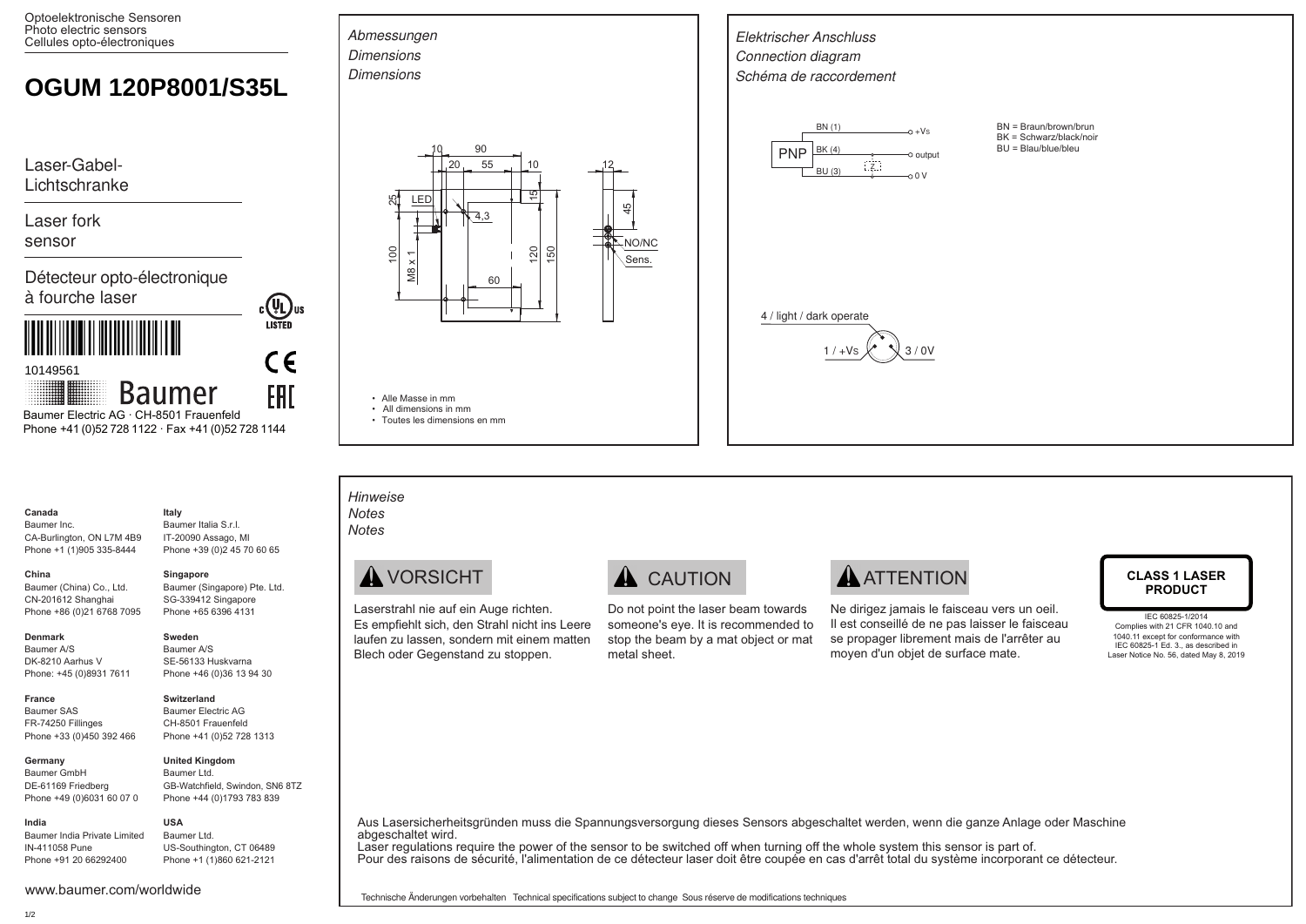Optoelektronische Sensoren Photo electric sensors Cellules opto-électroniques

# **OGUM 120P8001/S35L**

Laser-Gabel-Lichtschranke

Laser fork sensor

Détecteur opto-électronique à fourche laser

<u>A FIRAN A FIRAN A FIRA A FIRA A FIRA A FIRA A FIRA A FIRA A FIRA A FIRA A FIRA A FIRA A FIRA A FIRA A FIRA A F</u>

10149561

**Baumer FRI** Baumer Electric AG · CH-8501 Frauenfeld Phone +41 (0)52 728 1122 · Fax +41 (0)52 728 1144

#### **Canada** Baumer Inc.

**China** 

CA-Burlington, ON L7M 4B9 Phone +1 (1)905 335-8444 Baumer Italia S.r.l. IT-20090 Assago, MI Phone +39 (0)2 45 70 60 65

## **Singapore**

**Sweden** Baumer A/S SE-56133 Huskvarna Phone +46 (0)36 13 94 30

**United Kingdom** Baumer Ltd.

GB-Watchfield, Swindon, SN6 8TZ Phone +44 (0)1793 783 839

**Italy**

Baumer (Singapore) Pte. Ltd. SG-339412 Singapore Phone +65 6396 4131

**COL**US

 $\epsilon$ 

### **Denmark**

Baumer A/S DK-8210 Aarhus V Phone: +45 (0)8931 7611

Baumer (China) Co., Ltd. CN-201612 Shanghai Phone +86 (0)21 6768 7095

### **Switzerland**

**France** Baumer SAS FR-74250 Fillinges Phone +33 (0)450 392 466 Baumer Electric AG CH-8501 Frauenfeld Phone +41 (0)52 728 1313

### **Germany**

Baumer GmbH DE-61169 Friedberg Phone +49 (0)6031 60 07 0

#### **USA** Baumer Ltd.

www.baumer.com/worldwide

Baumer India Private Limited IN-411058 Pune Phone +91 20 66292400

# US-Southington, CT 06489 Phone +1 (1)860 621-2121



• Toutes les dimensions en mm

Laserstrahl nie auf ein Auge richten. Es empfiehlt sich, den Strahl nicht ins Leere laufen zu lassen, sondern mit einem matten Blech oder Gegenstand zu stoppen.



Do not point the laser beam towards someone's eye. It is recommended to stop the beam by a mat object or mat metal sheet.

Ne dirigez jamais le faisceau vers un oeil. Il est conseillé de ne pas laisser le faisceau se propager librement mais de l'arrêter au moyen d'un objet de surface mate.

# **PRODUCT**

IEC 60825-1/2014 Complies with 21 CFR 1040.10 and 1040.11 except for conformance with IEC 60825-1 Ed. 3., as described in Laser Notice No. 56, dated May 8, 2019

Aus Lasersicherheitsgründen muss die Spannungsversorgung dieses Sensors abgeschaltet werden, wenn die ganze Anlage oder Maschine abgeschaltet wird.

Laser regulations require the power of the sensor to be switched off when turning off the whole system this sensor is part of. Pour des raisons de sécurité, l'alimentation de ce détecteur laser doit être coupée en cas d'arrêt total du système incorporant ce détecteur.

Technische Änderungen vorbehalten Technical specifications subject to change Sous réserve de modifications techniques

**India**